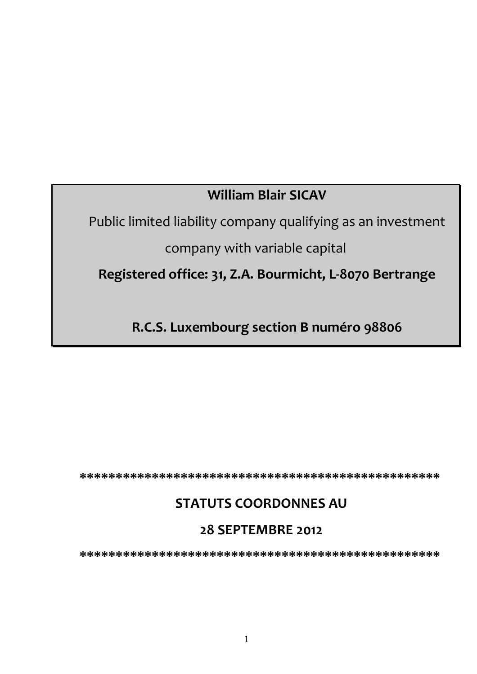# **William Blair SICAV**

Public limited liability company qualifying as an investment

company with variable capital

**Registered office: 31, Z.A. Bourmicht, L-8070 Bertrange** 

**R.C.S. Luxembourg section B numéro 98806**

**\*\*\*\*\*\*\*\*\*\*\*\*\*\*\*\*\*\*\*\*\*\*\*\*\*\*\*\*\*\*\*\*\*\*\*\*\*\*\*\*\*\*\*\*\*\*\*\*\*\*** 

# **STATUTS COORDONNES AU**

# **28 SEPTEMBRE 2012**

**\*\*\*\*\*\*\*\*\*\*\*\*\*\*\*\*\*\*\*\*\*\*\*\*\*\*\*\*\*\*\*\*\*\*\*\*\*\*\*\*\*\*\*\*\*\*\*\*\*\***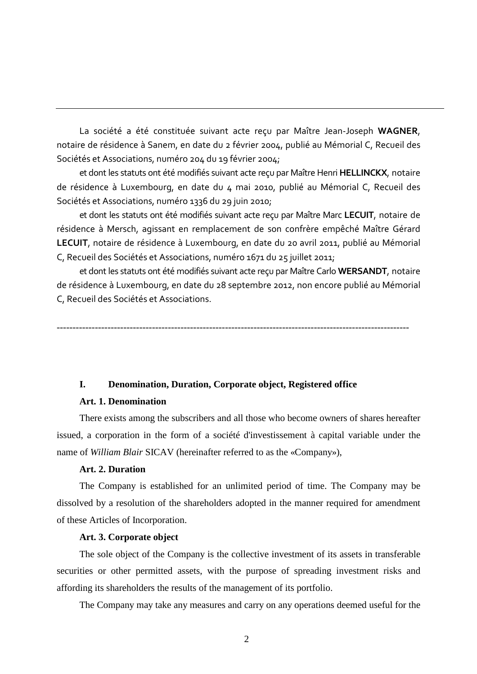La société a été constituée suivant acte reçu par Maître Jean-Joseph **WAGNER**, notaire de résidence à Sanem, en date du 2 février 2004, publié au Mémorial C, Recueil des Sociétés et Associations, numéro 204 du 19 février 2004;

et dont les statuts ont été modifiés suivant acte reçu par Maître Henri **HELLINCKX**, notaire de résidence à Luxembourg, en date du 4 mai 2010, publié au Mémorial C, Recueil des Sociétés et Associations, numéro 1336 du 29 juin 2010;

et dont les statuts ont été modifiés suivant acte reçu par Maître Marc **LECUIT**, notaire de résidence à Mersch, agissant en remplacement de son confrère empêché Maître Gérard **LECUIT**, notaire de résidence à Luxembourg, en date du 20 avril 2011, publié au Mémorial C, Recueil des Sociétés et Associations, numéro 1671 du 25 juillet 2011;

et dont les statuts ont été modifiés suivant acte reçu par Maître Carlo **WERSANDT**, notaire de résidence à Luxembourg, en date du 28 septembre 2012, non encore publié au Mémorial C, Recueil des Sociétés et Associations.

---------------------------------------------------------------------------------------------------------------

# **I. Denomination, Duration, Corporate object, Registered office**

# **Art. 1. Denomination**

There exists among the subscribers and all those who become owners of shares hereafter issued, a corporation in the form of a société d'investissement à capital variable under the name of *William Blair* SICAV (hereinafter referred to as the «Company»),

# **Art. 2. Duration**

The Company is established for an unlimited period of time. The Company may be dissolved by a resolution of the shareholders adopted in the manner required for amendment of these Articles of Incorporation.

#### **Art. 3. Corporate object**

The sole object of the Company is the collective investment of its assets in transferable securities or other permitted assets, with the purpose of spreading investment risks and affording its shareholders the results of the management of its portfolio.

The Company may take any measures and carry on any operations deemed useful for the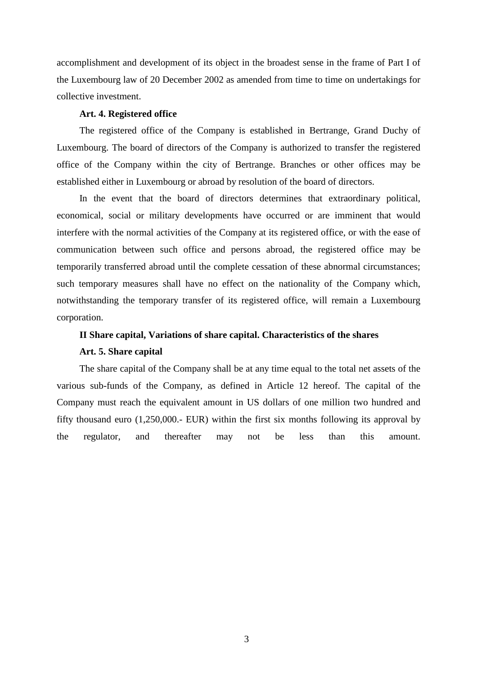accomplishment and development of its object in the broadest sense in the frame of Part I of the Luxembourg law of 20 December 2002 as amended from time to time on undertakings for collective investment.

### **Art. 4. Registered office**

The registered office of the Company is established in Bertrange, Grand Duchy of Luxembourg. The board of directors of the Company is authorized to transfer the registered office of the Company within the city of Bertrange. Branches or other offices may be established either in Luxembourg or abroad by resolution of the board of directors.

In the event that the board of directors determines that extraordinary political, economical, social or military developments have occurred or are imminent that would interfere with the normal activities of the Company at its registered office, or with the ease of communication between such office and persons abroad, the registered office may be temporarily transferred abroad until the complete cessation of these abnormal circumstances; such temporary measures shall have no effect on the nationality of the Company which, notwithstanding the temporary transfer of its registered office, will remain a Luxembourg corporation.

# **II Share capital, Variations of share capital. Characteristics of the shares**

# **Art. 5. Share capital**

The share capital of the Company shall be at any time equal to the total net assets of the various sub-funds of the Company, as defined in Article 12 hereof. The capital of the Company must reach the equivalent amount in US dollars of one million two hundred and fifty thousand euro (1,250,000.- EUR) within the first six months following its approval by the regulator, and thereafter may not be less than this amount.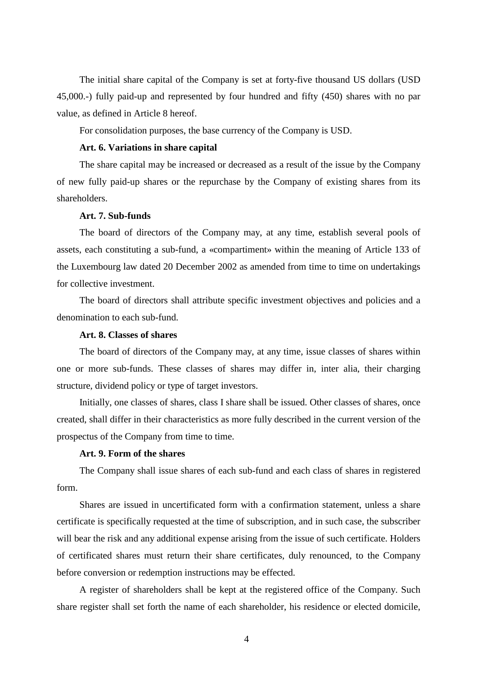The initial share capital of the Company is set at forty-five thousand US dollars (USD 45,000.-) fully paid-up and represented by four hundred and fifty (450) shares with no par value, as defined in Article 8 hereof.

For consolidation purposes, the base currency of the Company is USD.

### **Art. 6. Variations in share capital**

The share capital may be increased or decreased as a result of the issue by the Company of new fully paid-up shares or the repurchase by the Company of existing shares from its shareholders.

# **Art. 7. Sub-funds**

The board of directors of the Company may, at any time, establish several pools of assets, each constituting a sub-fund, a «compartiment» within the meaning of Article 133 of the Luxembourg law dated 20 December 2002 as amended from time to time on undertakings for collective investment.

The board of directors shall attribute specific investment objectives and policies and a denomination to each sub-fund.

### **Art. 8. Classes of shares**

The board of directors of the Company may, at any time, issue classes of shares within one or more sub-funds. These classes of shares may differ in, inter alia, their charging structure, dividend policy or type of target investors.

Initially, one classes of shares, class I share shall be issued. Other classes of shares, once created, shall differ in their characteristics as more fully described in the current version of the prospectus of the Company from time to time.

# **Art. 9. Form of the shares**

The Company shall issue shares of each sub-fund and each class of shares in registered form.

Shares are issued in uncertificated form with a confirmation statement, unless a share certificate is specifically requested at the time of subscription, and in such case, the subscriber will bear the risk and any additional expense arising from the issue of such certificate. Holders of certificated shares must return their share certificates, duly renounced, to the Company before conversion or redemption instructions may be effected.

A register of shareholders shall be kept at the registered office of the Company. Such share register shall set forth the name of each shareholder, his residence or elected domicile,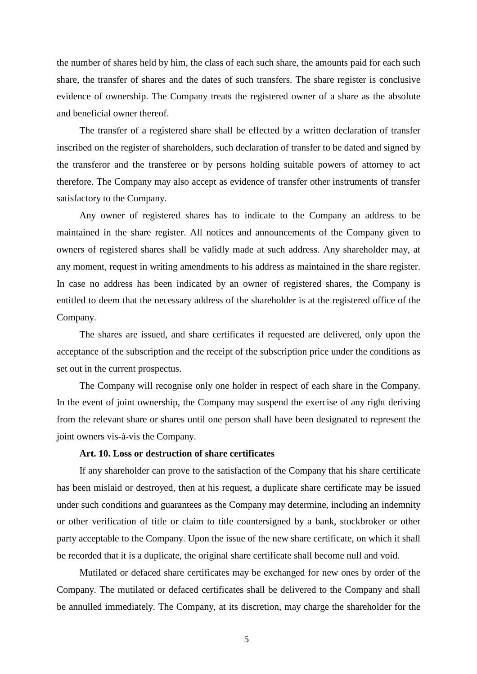the number of shares held by him, the class of each such share, the amounts paid for each such share, the transfer of shares and the dates of such transfers. The share register is conclusive evidence of ownership. The Company treats the registered owner of a share as the absolute and beneficial owner thereof.

The transfer of a registered share shall be effected by a written declaration of transfer inscribed on the register of shareholders, such declaration of transfer to be dated and signed by the transferor and the transferee or by persons holding suitable powers of attorney to act therefore. The Company may also accept as evidence of transfer other instruments of transfer satisfactory to the Company.

Any owner of registered shares has to indicate to the Company an address to be maintained in the share register. All notices and announcements of the Company given to owners of registered shares shall be validly made at such address. Any shareholder may, at any moment, request in writing amendments to his address as maintained in the share register. In case no address has been indicated by an owner of registered shares, the Company is entitled to deem that the necessary address of the shareholder is at the registered office of the Company.

The shares are issued, and share certificates if requested are delivered, only upon the acceptance of the subscription and the receipt of the subscription price under the conditions as set out in the current prospectus.

The Company will recognise only one holder in respect of each share in the Company. In the event of joint ownership, the Company may suspend the exercise of any right deriving from the relevant share or shares until one person shall have been designated to represent the joint owners vis-à-vis the Company.

# **Art. 10. Loss or destruction of share certificates**

If any shareholder can prove to the satisfaction of the Company that his share certificate has been mislaid or destroyed, then at his request, a duplicate share certificate may be issued under such conditions and guarantees as the Company may determine, including an indemnity or other verification of title or claim to title countersigned by a bank, stockbroker or other party acceptable to the Company. Upon the issue of the new share certificate, on which it shall be recorded that it is a duplicate, the original share certificate shall become null and void.

Mutilated or defaced share certificates may be exchanged for new ones by order of the Company. The mutilated or defaced certificates shall be delivered to the Company and shall be annulled immediately. The Company, at its discretion, may charge the shareholder for the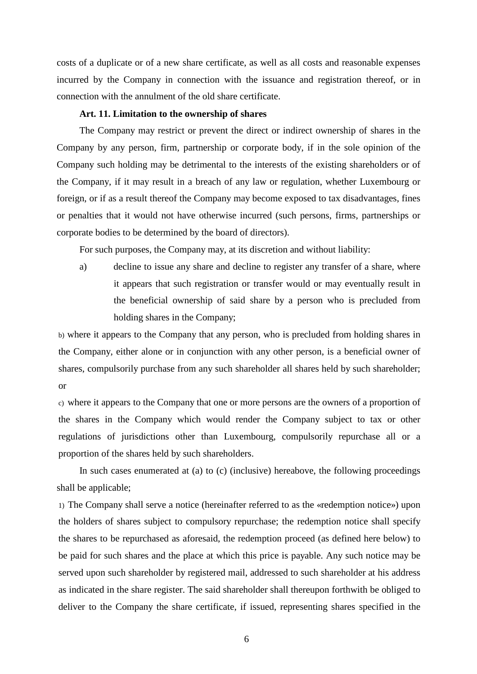costs of a duplicate or of a new share certificate, as well as all costs and reasonable expenses incurred by the Company in connection with the issuance and registration thereof, or in connection with the annulment of the old share certificate.

### **Art. 11. Limitation to the ownership of shares**

The Company may restrict or prevent the direct or indirect ownership of shares in the Company by any person, firm, partnership or corporate body, if in the sole opinion of the Company such holding may be detrimental to the interests of the existing shareholders or of the Company, if it may result in a breach of any law or regulation, whether Luxembourg or foreign, or if as a result thereof the Company may become exposed to tax disadvantages, fines or penalties that it would not have otherwise incurred (such persons, firms, partnerships or corporate bodies to be determined by the board of directors).

For such purposes, the Company may, at its discretion and without liability:

a) decline to issue any share and decline to register any transfer of a share, where it appears that such registration or transfer would or may eventually result in the beneficial ownership of said share by a person who is precluded from holding shares in the Company;

b) where it appears to the Company that any person, who is precluded from holding shares in the Company, either alone or in conjunction with any other person, is a beneficial owner of shares, compulsorily purchase from any such shareholder all shares held by such shareholder; or

c) where it appears to the Company that one or more persons are the owners of a proportion of the shares in the Company which would render the Company subject to tax or other regulations of jurisdictions other than Luxembourg, compulsorily repurchase all or a proportion of the shares held by such shareholders.

In such cases enumerated at (a) to (c) (inclusive) hereabove, the following proceedings shall be applicable;

1) The Company shall serve a notice (hereinafter referred to as the «redemption notice») upon the holders of shares subject to compulsory repurchase; the redemption notice shall specify the shares to be repurchased as aforesaid, the redemption proceed (as defined here below) to be paid for such shares and the place at which this price is payable. Any such notice may be served upon such shareholder by registered mail, addressed to such shareholder at his address as indicated in the share register. The said shareholder shall thereupon forthwith be obliged to deliver to the Company the share certificate, if issued, representing shares specified in the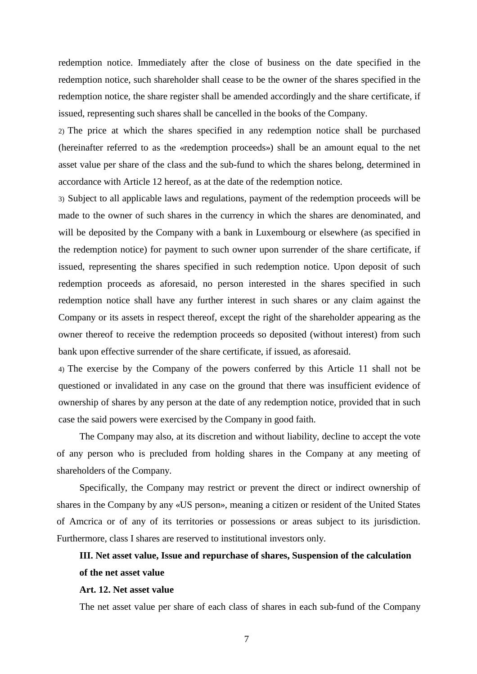redemption notice. Immediately after the close of business on the date specified in the redemption notice, such shareholder shall cease to be the owner of the shares specified in the redemption notice, the share register shall be amended accordingly and the share certificate, if issued, representing such shares shall be cancelled in the books of the Company.

2) The price at which the shares specified in any redemption notice shall be purchased (hereinafter referred to as the «redemption proceeds») shall be an amount equal to the net asset value per share of the class and the sub-fund to which the shares belong, determined in accordance with Article 12 hereof, as at the date of the redemption notice.

3) Subject to all applicable laws and regulations, payment of the redemption proceeds will be made to the owner of such shares in the currency in which the shares are denominated, and will be deposited by the Company with a bank in Luxembourg or elsewhere (as specified in the redemption notice) for payment to such owner upon surrender of the share certificate, if issued, representing the shares specified in such redemption notice. Upon deposit of such redemption proceeds as aforesaid, no person interested in the shares specified in such redemption notice shall have any further interest in such shares or any claim against the Company or its assets in respect thereof, except the right of the shareholder appearing as the owner thereof to receive the redemption proceeds so deposited (without interest) from such bank upon effective surrender of the share certificate, if issued, as aforesaid.

4) The exercise by the Company of the powers conferred by this Article 11 shall not be questioned or invalidated in any case on the ground that there was insufficient evidence of ownership of shares by any person at the date of any redemption notice, provided that in such case the said powers were exercised by the Company in good faith.

The Company may also, at its discretion and without liability, decline to accept the vote of any person who is precluded from holding shares in the Company at any meeting of shareholders of the Company.

Specifically, the Company may restrict or prevent the direct or indirect ownership of shares in the Company by any «US person», meaning a citizen or resident of the United States of Amcrica or of any of its territories or possessions or areas subject to its jurisdiction. Furthermore, class I shares are reserved to institutional investors only.

# **III. Net asset value, Issue and repurchase of shares, Suspension of the calculation of the net asset value**

### **Art. 12. Net asset value**

The net asset value per share of each class of shares in each sub-fund of the Company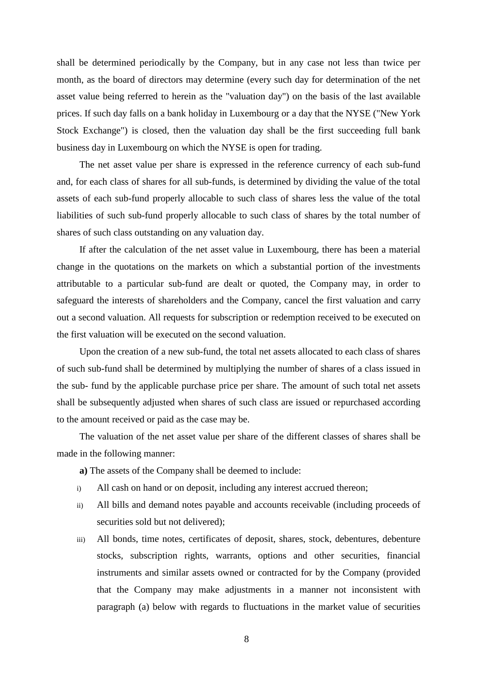shall be determined periodically by the Company, but in any case not less than twice per month, as the board of directors may determine (every such day for determination of the net asset value being referred to herein as the "valuation day") on the basis of the last available prices. If such day falls on a bank holiday in Luxembourg or a day that the NYSE ("New York Stock Exchange") is closed, then the valuation day shall be the first succeeding full bank business day in Luxembourg on which the NYSE is open for trading.

The net asset value per share is expressed in the reference currency of each sub-fund and, for each class of shares for all sub-funds, is determined by dividing the value of the total assets of each sub-fund properly allocable to such class of shares less the value of the total liabilities of such sub-fund properly allocable to such class of shares by the total number of shares of such class outstanding on any valuation day.

If after the calculation of the net asset value in Luxembourg, there has been a material change in the quotations on the markets on which a substantial portion of the investments attributable to a particular sub-fund are dealt or quoted, the Company may, in order to safeguard the interests of shareholders and the Company, cancel the first valuation and carry out a second valuation. All requests for subscription or redemption received to be executed on the first valuation will be executed on the second valuation.

Upon the creation of a new sub-fund, the total net assets allocated to each class of shares of such sub-fund shall be determined by multiplying the number of shares of a class issued in the sub- fund by the applicable purchase price per share. The amount of such total net assets shall be subsequently adjusted when shares of such class are issued or repurchased according to the amount received or paid as the case may be.

The valuation of the net asset value per share of the different classes of shares shall be made in the following manner:

**a)** The assets of the Company shall be deemed to include:

- i) All cash on hand or on deposit, including any interest accrued thereon;
- ii) All bills and demand notes payable and accounts receivable (including proceeds of securities sold but not delivered):
- iii) All bonds, time notes, certificates of deposit, shares, stock, debentures, debenture stocks, subscription rights, warrants, options and other securities, financial instruments and similar assets owned or contracted for by the Company (provided that the Company may make adjustments in a manner not inconsistent with paragraph (a) below with regards to fluctuations in the market value of securities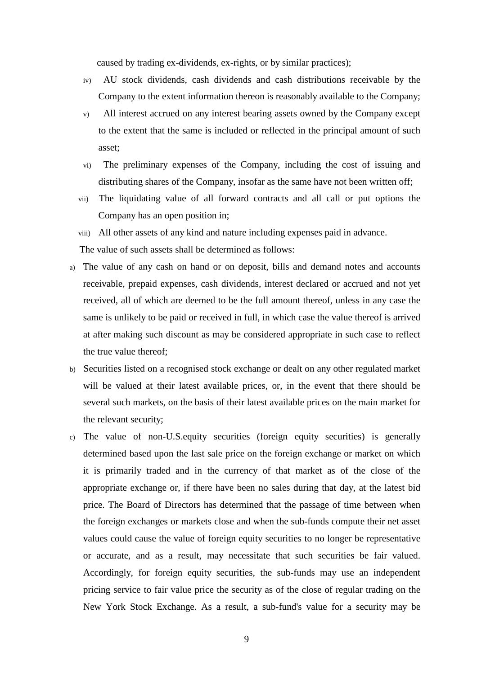caused by trading ex-dividends, ex-rights, or by similar practices);

- iv) AU stock dividends, cash dividends and cash distributions receivable by the Company to the extent information thereon is reasonably available to the Company;
- v) All interest accrued on any interest bearing assets owned by the Company except to the extent that the same is included or reflected in the principal amount of such asset;
- vi) The preliminary expenses of the Company, including the cost of issuing and distributing shares of the Company, insofar as the same have not been written off;
- vii) The liquidating value of all forward contracts and all call or put options the Company has an open position in;
- viii) All other assets of any kind and nature including expenses paid in advance. The value of such assets shall be determined as follows:
- a) The value of any cash on hand or on deposit, bills and demand notes and accounts receivable, prepaid expenses, cash dividends, interest declared or accrued and not yet received, all of which are deemed to be the full amount thereof, unless in any case the same is unlikely to be paid or received in full, in which case the value thereof is arrived at after making such discount as may be considered appropriate in such case to reflect the true value thereof;
- b) Securities listed on a recognised stock exchange or dealt on any other regulated market will be valued at their latest available prices, or, in the event that there should be several such markets, on the basis of their latest available prices on the main market for the relevant security;
- c) The value of non-U.S.equity securities (foreign equity securities) is generally determined based upon the last sale price on the foreign exchange or market on which it is primarily traded and in the currency of that market as of the close of the appropriate exchange or, if there have been no sales during that day, at the latest bid price. The Board of Directors has determined that the passage of time between when the foreign exchanges or markets close and when the sub-funds compute their net asset values could cause the value of foreign equity securities to no longer be representative or accurate, and as a result, may necessitate that such securities be fair valued. Accordingly, for foreign equity securities, the sub-funds may use an independent pricing service to fair value price the security as of the close of regular trading on the New York Stock Exchange. As a result, a sub-fund's value for a security may be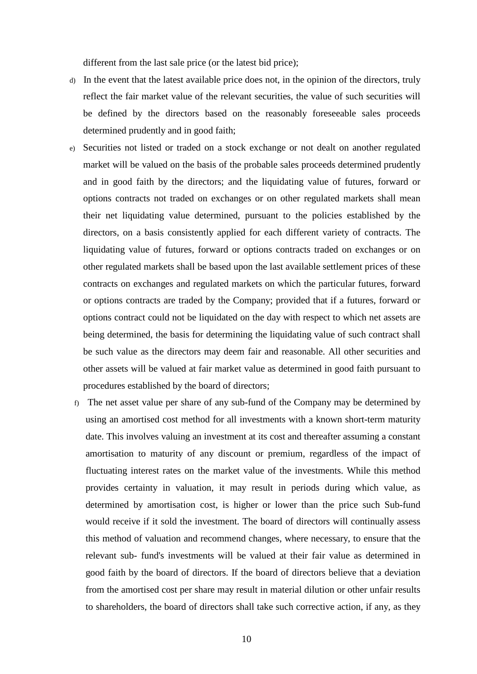different from the last sale price (or the latest bid price);

- d) In the event that the latest available price does not, in the opinion of the directors, truly reflect the fair market value of the relevant securities, the value of such securities will be defined by the directors based on the reasonably foreseeable sales proceeds determined prudently and in good faith;
- e) Securities not listed or traded on a stock exchange or not dealt on another regulated market will be valued on the basis of the probable sales proceeds determined prudently and in good faith by the directors; and the liquidating value of futures, forward or options contracts not traded on exchanges or on other regulated markets shall mean their net liquidating value determined, pursuant to the policies established by the directors, on a basis consistently applied for each different variety of contracts. The liquidating value of futures, forward or options contracts traded on exchanges or on other regulated markets shall be based upon the last available settlement prices of these contracts on exchanges and regulated markets on which the particular futures, forward or options contracts are traded by the Company; provided that if a futures, forward or options contract could not be liquidated on the day with respect to which net assets are being determined, the basis for determining the liquidating value of such contract shall be such value as the directors may deem fair and reasonable. All other securities and other assets will be valued at fair market value as determined in good faith pursuant to procedures established by the board of directors;
- f) The net asset value per share of any sub-fund of the Company may be determined by using an amortised cost method for all investments with a known short-term maturity date. This involves valuing an investment at its cost and thereafter assuming a constant amortisation to maturity of any discount or premium, regardless of the impact of fluctuating interest rates on the market value of the investments. While this method provides certainty in valuation, it may result in periods during which value, as determined by amortisation cost, is higher or lower than the price such Sub-fund would receive if it sold the investment. The board of directors will continually assess this method of valuation and recommend changes, where necessary, to ensure that the relevant sub- fund's investments will be valued at their fair value as determined in good faith by the board of directors. If the board of directors believe that a deviation from the amortised cost per share may result in material dilution or other unfair results to shareholders, the board of directors shall take such corrective action, if any, as they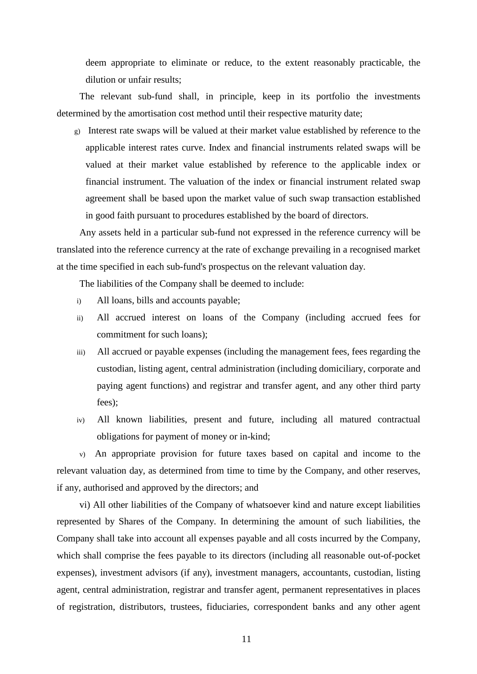deem appropriate to eliminate or reduce, to the extent reasonably practicable, the dilution or unfair results;

The relevant sub-fund shall, in principle, keep in its portfolio the investments determined by the amortisation cost method until their respective maturity date;

g) Interest rate swaps will be valued at their market value established by reference to the applicable interest rates curve. Index and financial instruments related swaps will be valued at their market value established by reference to the applicable index or financial instrument. The valuation of the index or financial instrument related swap agreement shall be based upon the market value of such swap transaction established in good faith pursuant to procedures established by the board of directors.

Any assets held in a particular sub-fund not expressed in the reference currency will be translated into the reference currency at the rate of exchange prevailing in a recognised market at the time specified in each sub-fund's prospectus on the relevant valuation day.

The liabilities of the Company shall be deemed to include:

- i) All loans, bills and accounts payable;
- ii) All accrued interest on loans of the Company (including accrued fees for commitment for such loans);
- iii) All accrued or payable expenses (including the management fees, fees regarding the custodian, listing agent, central administration (including domiciliary, corporate and paying agent functions) and registrar and transfer agent, and any other third party fees);
- iv) All known liabilities, present and future, including all matured contractual obligations for payment of money or in-kind;

v) An appropriate provision for future taxes based on capital and income to the relevant valuation day, as determined from time to time by the Company, and other reserves, if any, authorised and approved by the directors; and

vi) All other liabilities of the Company of whatsoever kind and nature except liabilities represented by Shares of the Company. In determining the amount of such liabilities, the Company shall take into account all expenses payable and all costs incurred by the Company, which shall comprise the fees payable to its directors (including all reasonable out-of-pocket expenses), investment advisors (if any), investment managers, accountants, custodian, listing agent, central administration, registrar and transfer agent, permanent representatives in places of registration, distributors, trustees, fiduciaries, correspondent banks and any other agent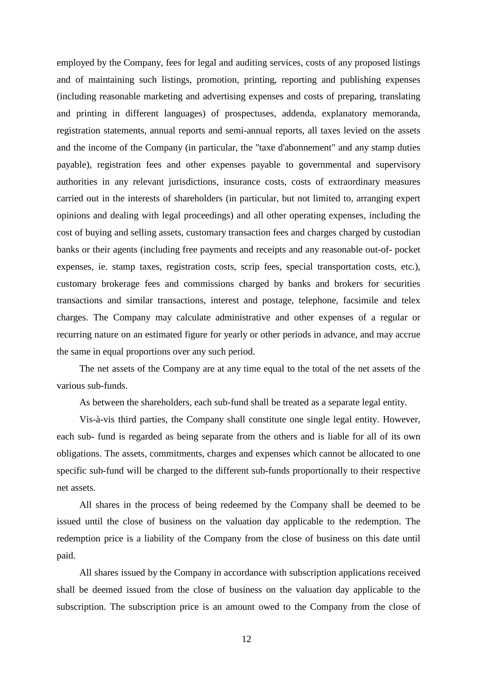employed by the Company, fees for legal and auditing services, costs of any proposed listings and of maintaining such listings, promotion, printing, reporting and publishing expenses (including reasonable marketing and advertising expenses and costs of preparing, translating and printing in different languages) of prospectuses, addenda, explanatory memoranda, registration statements, annual reports and semi-annual reports, all taxes levied on the assets and the income of the Company (in particular, the "taxe d'abonnement" and any stamp duties payable), registration fees and other expenses payable to governmental and supervisory authorities in any relevant jurisdictions, insurance costs, costs of extraordinary measures carried out in the interests of shareholders (in particular, but not limited to, arranging expert opinions and dealing with legal proceedings) and all other operating expenses, including the cost of buying and selling assets, customary transaction fees and charges charged by custodian banks or their agents (including free payments and receipts and any reasonable out-of- pocket expenses, ie. stamp taxes, registration costs, scrip fees, special transportation costs, etc.), customary brokerage fees and commissions charged by banks and brokers for securities transactions and similar transactions, interest and postage, telephone, facsimile and telex charges. The Company may calculate administrative and other expenses of a regular or recurring nature on an estimated figure for yearly or other periods in advance, and may accrue the same in equal proportions over any such period.

The net assets of the Company are at any time equal to the total of the net assets of the various sub-funds.

As between the shareholders, each sub-fund shall be treated as a separate legal entity.

Vis-à-vis third parties, the Company shall constitute one single legal entity. However, each sub- fund is regarded as being separate from the others and is liable for all of its own obligations. The assets, commitments, charges and expenses which cannot be allocated to one specific sub-fund will be charged to the different sub-funds proportionally to their respective net assets.

All shares in the process of being redeemed by the Company shall be deemed to be issued until the close of business on the valuation day applicable to the redemption. The redemption price is a liability of the Company from the close of business on this date until paid.

All shares issued by the Company in accordance with subscription applications received shall be deemed issued from the close of business on the valuation day applicable to the subscription. The subscription price is an amount owed to the Company from the close of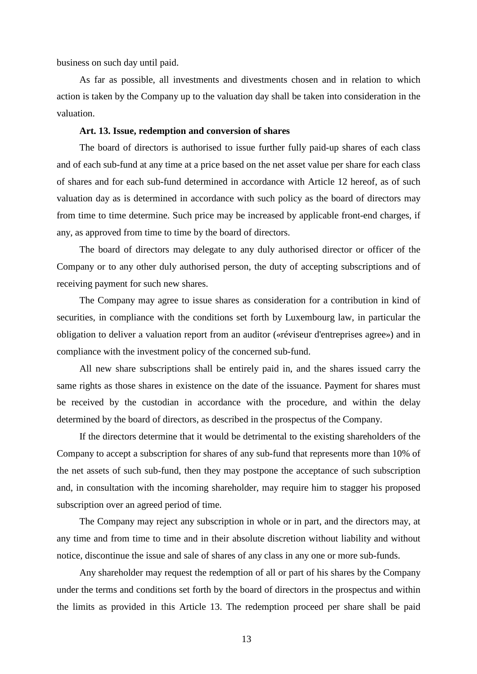business on such day until paid.

As far as possible, all investments and divestments chosen and in relation to which action is taken by the Company up to the valuation day shall be taken into consideration in the valuation.

### **Art. 13. Issue, redemption and conversion of shares**

The board of directors is authorised to issue further fully paid-up shares of each class and of each sub-fund at any time at a price based on the net asset value per share for each class of shares and for each sub-fund determined in accordance with Article 12 hereof, as of such valuation day as is determined in accordance with such policy as the board of directors may from time to time determine. Such price may be increased by applicable front-end charges, if any, as approved from time to time by the board of directors.

The board of directors may delegate to any duly authorised director or officer of the Company or to any other duly authorised person, the duty of accepting subscriptions and of receiving payment for such new shares.

The Company may agree to issue shares as consideration for a contribution in kind of securities, in compliance with the conditions set forth by Luxembourg law, in particular the obligation to deliver a valuation report from an auditor («réviseur d'entreprises agree») and in compliance with the investment policy of the concerned sub-fund.

All new share subscriptions shall be entirely paid in, and the shares issued carry the same rights as those shares in existence on the date of the issuance. Payment for shares must be received by the custodian in accordance with the procedure, and within the delay determined by the board of directors, as described in the prospectus of the Company.

If the directors determine that it would be detrimental to the existing shareholders of the Company to accept a subscription for shares of any sub-fund that represents more than 10% of the net assets of such sub-fund, then they may postpone the acceptance of such subscription and, in consultation with the incoming shareholder, may require him to stagger his proposed subscription over an agreed period of time.

The Company may reject any subscription in whole or in part, and the directors may, at any time and from time to time and in their absolute discretion without liability and without notice, discontinue the issue and sale of shares of any class in any one or more sub-funds.

Any shareholder may request the redemption of all or part of his shares by the Company under the terms and conditions set forth by the board of directors in the prospectus and within the limits as provided in this Article 13. The redemption proceed per share shall be paid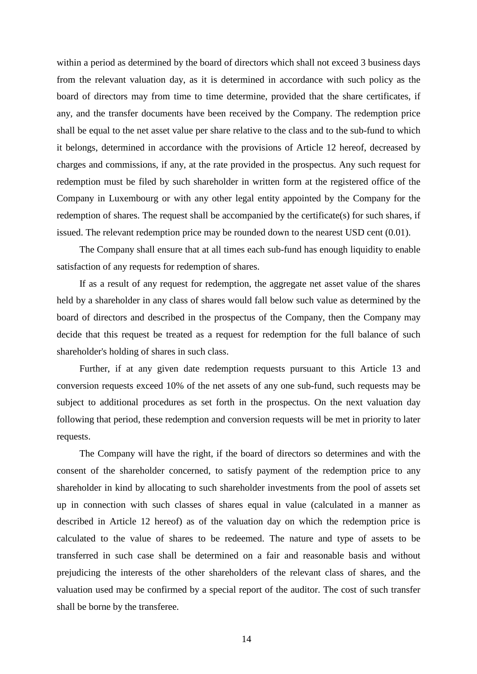within a period as determined by the board of directors which shall not exceed 3 business days from the relevant valuation day, as it is determined in accordance with such policy as the board of directors may from time to time determine, provided that the share certificates, if any, and the transfer documents have been received by the Company. The redemption price shall be equal to the net asset value per share relative to the class and to the sub-fund to which it belongs, determined in accordance with the provisions of Article 12 hereof, decreased by charges and commissions, if any, at the rate provided in the prospectus. Any such request for redemption must be filed by such shareholder in written form at the registered office of the Company in Luxembourg or with any other legal entity appointed by the Company for the redemption of shares. The request shall be accompanied by the certificate(s) for such shares, if issued. The relevant redemption price may be rounded down to the nearest USD cent (0.01).

The Company shall ensure that at all times each sub-fund has enough liquidity to enable satisfaction of any requests for redemption of shares.

If as a result of any request for redemption, the aggregate net asset value of the shares held by a shareholder in any class of shares would fall below such value as determined by the board of directors and described in the prospectus of the Company, then the Company may decide that this request be treated as a request for redemption for the full balance of such shareholder's holding of shares in such class.

Further, if at any given date redemption requests pursuant to this Article 13 and conversion requests exceed 10% of the net assets of any one sub-fund, such requests may be subject to additional procedures as set forth in the prospectus. On the next valuation day following that period, these redemption and conversion requests will be met in priority to later requests.

The Company will have the right, if the board of directors so determines and with the consent of the shareholder concerned, to satisfy payment of the redemption price to any shareholder in kind by allocating to such shareholder investments from the pool of assets set up in connection with such classes of shares equal in value (calculated in a manner as described in Article 12 hereof) as of the valuation day on which the redemption price is calculated to the value of shares to be redeemed. The nature and type of assets to be transferred in such case shall be determined on a fair and reasonable basis and without prejudicing the interests of the other shareholders of the relevant class of shares, and the valuation used may be confirmed by a special report of the auditor. The cost of such transfer shall be borne by the transferee.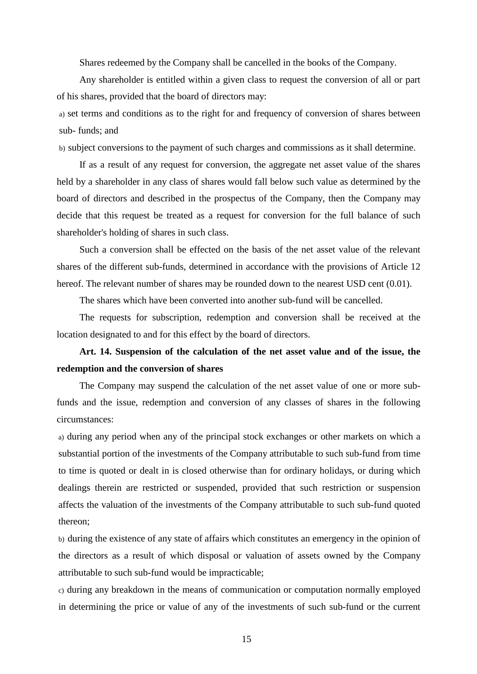Shares redeemed by the Company shall be cancelled in the books of the Company.

Any shareholder is entitled within a given class to request the conversion of all or part of his shares, provided that the board of directors may:

a) set terms and conditions as to the right for and frequency of conversion of shares between sub- funds; and

b) subject conversions to the payment of such charges and commissions as it shall determine.

If as a result of any request for conversion, the aggregate net asset value of the shares held by a shareholder in any class of shares would fall below such value as determined by the board of directors and described in the prospectus of the Company, then the Company may decide that this request be treated as a request for conversion for the full balance of such shareholder's holding of shares in such class.

Such a conversion shall be effected on the basis of the net asset value of the relevant shares of the different sub-funds, determined in accordance with the provisions of Article 12 hereof. The relevant number of shares may be rounded down to the nearest USD cent  $(0.01)$ .

The shares which have been converted into another sub-fund will be cancelled.

The requests for subscription, redemption and conversion shall be received at the location designated to and for this effect by the board of directors.

# **Art. 14. Suspension of the calculation of the net asset value and of the issue, the redemption and the conversion of shares**

The Company may suspend the calculation of the net asset value of one or more subfunds and the issue, redemption and conversion of any classes of shares in the following circumstances:

a) during any period when any of the principal stock exchanges or other markets on which a substantial portion of the investments of the Company attributable to such sub-fund from time to time is quoted or dealt in is closed otherwise than for ordinary holidays, or during which dealings therein are restricted or suspended, provided that such restriction or suspension affects the valuation of the investments of the Company attributable to such sub-fund quoted thereon;

b) during the existence of any state of affairs which constitutes an emergency in the opinion of the directors as a result of which disposal or valuation of assets owned by the Company attributable to such sub-fund would be impracticable;

c) during any breakdown in the means of communication or computation normally employed in determining the price or value of any of the investments of such sub-fund or the current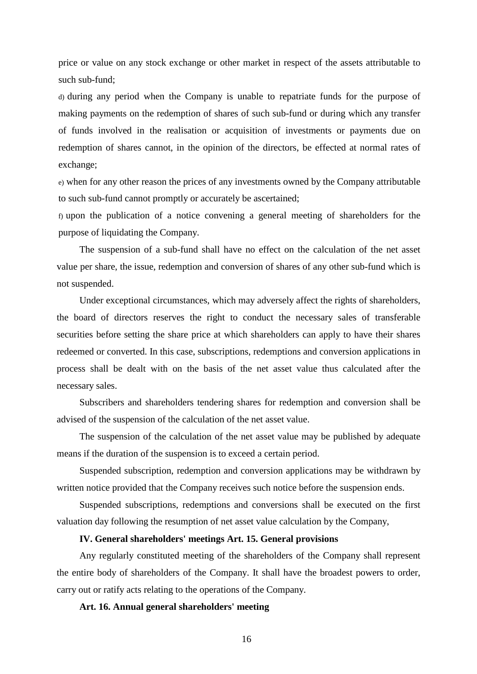price or value on any stock exchange or other market in respect of the assets attributable to such sub-fund;

d) during any period when the Company is unable to repatriate funds for the purpose of making payments on the redemption of shares of such sub-fund or during which any transfer of funds involved in the realisation or acquisition of investments or payments due on redemption of shares cannot, in the opinion of the directors, be effected at normal rates of exchange;

e) when for any other reason the prices of any investments owned by the Company attributable to such sub-fund cannot promptly or accurately be ascertained;

f) upon the publication of a notice convening a general meeting of shareholders for the purpose of liquidating the Company.

The suspension of a sub-fund shall have no effect on the calculation of the net asset value per share, the issue, redemption and conversion of shares of any other sub-fund which is not suspended.

Under exceptional circumstances, which may adversely affect the rights of shareholders, the board of directors reserves the right to conduct the necessary sales of transferable securities before setting the share price at which shareholders can apply to have their shares redeemed or converted. In this case, subscriptions, redemptions and conversion applications in process shall be dealt with on the basis of the net asset value thus calculated after the necessary sales.

Subscribers and shareholders tendering shares for redemption and conversion shall be advised of the suspension of the calculation of the net asset value.

The suspension of the calculation of the net asset value may be published by adequate means if the duration of the suspension is to exceed a certain period.

Suspended subscription, redemption and conversion applications may be withdrawn by written notice provided that the Company receives such notice before the suspension ends.

Suspended subscriptions, redemptions and conversions shall be executed on the first valuation day following the resumption of net asset value calculation by the Company,

# **IV. General shareholders' meetings Art. 15. General provisions**

Any regularly constituted meeting of the shareholders of the Company shall represent the entire body of shareholders of the Company. It shall have the broadest powers to order, carry out or ratify acts relating to the operations of the Company.

**Art. 16. Annual general shareholders' meeting**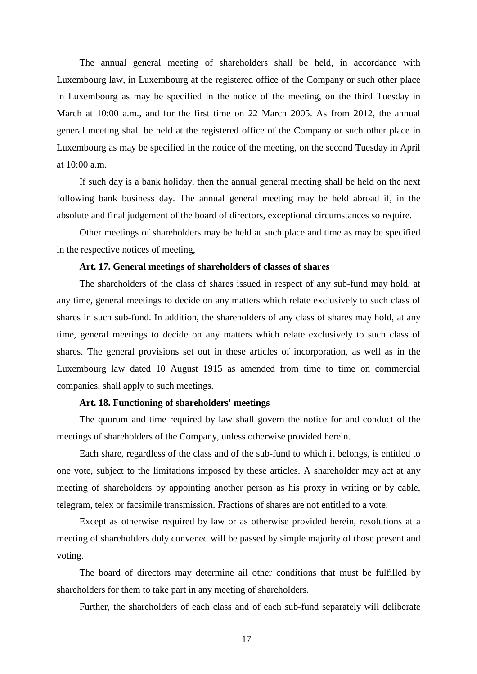The annual general meeting of shareholders shall be held, in accordance with Luxembourg law, in Luxembourg at the registered office of the Company or such other place in Luxembourg as may be specified in the notice of the meeting, on the third Tuesday in March at 10:00 a.m., and for the first time on 22 March 2005. As from 2012, the annual general meeting shall be held at the registered office of the Company or such other place in Luxembourg as may be specified in the notice of the meeting, on the second Tuesday in April at  $10:00$  a.m.

If such day is a bank holiday, then the annual general meeting shall be held on the next following bank business day. The annual general meeting may be held abroad if, in the absolute and final judgement of the board of directors, exceptional circumstances so require.

Other meetings of shareholders may be held at such place and time as may be specified in the respective notices of meeting,

### **Art. 17. General meetings of shareholders of classes of shares**

The shareholders of the class of shares issued in respect of any sub-fund may hold, at any time, general meetings to decide on any matters which relate exclusively to such class of shares in such sub-fund. In addition, the shareholders of any class of shares may hold, at any time, general meetings to decide on any matters which relate exclusively to such class of shares. The general provisions set out in these articles of incorporation, as well as in the Luxembourg law dated 10 August 1915 as amended from time to time on commercial companies, shall apply to such meetings.

### **Art. 18. Functioning of shareholders' meetings**

The quorum and time required by law shall govern the notice for and conduct of the meetings of shareholders of the Company, unless otherwise provided herein.

Each share, regardless of the class and of the sub-fund to which it belongs, is entitled to one vote, subject to the limitations imposed by these articles. A shareholder may act at any meeting of shareholders by appointing another person as his proxy in writing or by cable, telegram, telex or facsimile transmission. Fractions of shares are not entitled to a vote.

Except as otherwise required by law or as otherwise provided herein, resolutions at a meeting of shareholders duly convened will be passed by simple majority of those present and voting.

The board of directors may determine ail other conditions that must be fulfilled by shareholders for them to take part in any meeting of shareholders.

Further, the shareholders of each class and of each sub-fund separately will deliberate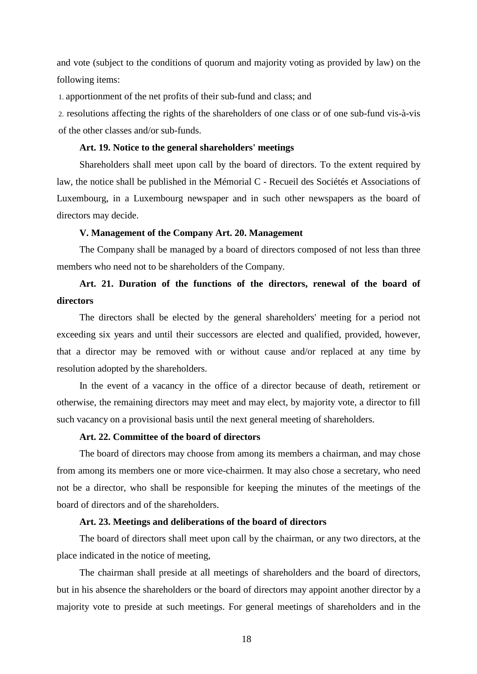and vote (subject to the conditions of quorum and majority voting as provided by law) on the following items:

1. apportionment of the net profits of their sub-fund and class; and

2. resolutions affecting the rights of the shareholders of one class or of one sub-fund vis-à-vis of the other classes and/or sub-funds.

# **Art. 19. Notice to the general shareholders' meetings**

Shareholders shall meet upon call by the board of directors. To the extent required by law, the notice shall be published in the Mémorial C - Recueil des Sociétés et Associations of Luxembourg, in a Luxembourg newspaper and in such other newspapers as the board of directors may decide.

### **V. Management of the Company Art. 20. Management**

The Company shall be managed by a board of directors composed of not less than three members who need not to be shareholders of the Company.

# **Art. 21. Duration of the functions of the directors, renewal of the board of directors**

The directors shall be elected by the general shareholders' meeting for a period not exceeding six years and until their successors are elected and qualified, provided, however, that a director may be removed with or without cause and/or replaced at any time by resolution adopted by the shareholders.

In the event of a vacancy in the office of a director because of death, retirement or otherwise, the remaining directors may meet and may elect, by majority vote, a director to fill such vacancy on a provisional basis until the next general meeting of shareholders.

# **Art. 22. Committee of the board of directors**

The board of directors may choose from among its members a chairman, and may chose from among its members one or more vice-chairmen. It may also chose a secretary, who need not be a director, who shall be responsible for keeping the minutes of the meetings of the board of directors and of the shareholders.

### **Art. 23. Meetings and deliberations of the board of directors**

The board of directors shall meet upon call by the chairman, or any two directors, at the place indicated in the notice of meeting,

The chairman shall preside at all meetings of shareholders and the board of directors, but in his absence the shareholders or the board of directors may appoint another director by a majority vote to preside at such meetings. For general meetings of shareholders and in the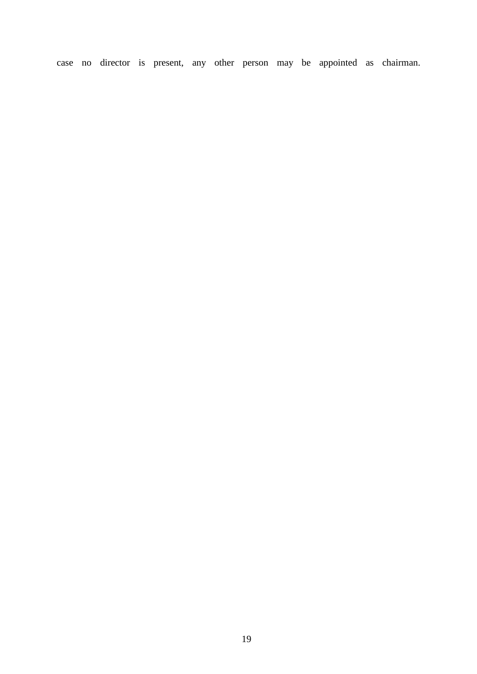case no director is present, any other person may be appointed as chairman.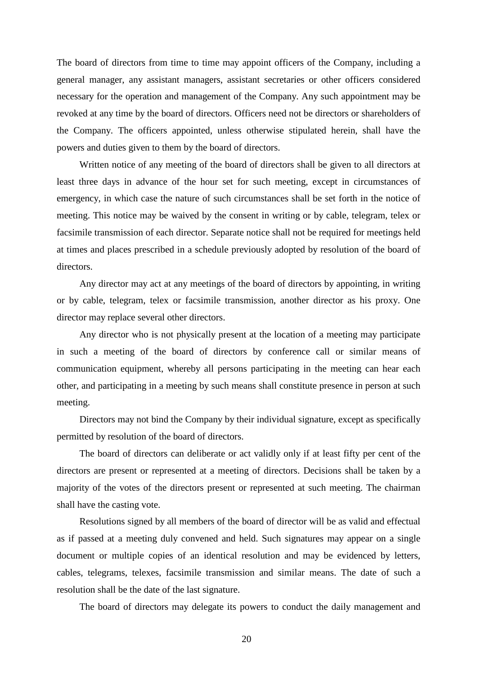The board of directors from time to time may appoint officers of the Company, including a general manager, any assistant managers, assistant secretaries or other officers considered necessary for the operation and management of the Company. Any such appointment may be revoked at any time by the board of directors. Officers need not be directors or shareholders of the Company. The officers appointed, unless otherwise stipulated herein, shall have the powers and duties given to them by the board of directors.

Written notice of any meeting of the board of directors shall be given to all directors at least three days in advance of the hour set for such meeting, except in circumstances of emergency, in which case the nature of such circumstances shall be set forth in the notice of meeting. This notice may be waived by the consent in writing or by cable, telegram, telex or facsimile transmission of each director. Separate notice shall not be required for meetings held at times and places prescribed in a schedule previously adopted by resolution of the board of directors.

Any director may act at any meetings of the board of directors by appointing, in writing or by cable, telegram, telex or facsimile transmission, another director as his proxy. One director may replace several other directors.

Any director who is not physically present at the location of a meeting may participate in such a meeting of the board of directors by conference call or similar means of communication equipment, whereby all persons participating in the meeting can hear each other, and participating in a meeting by such means shall constitute presence in person at such meeting.

Directors may not bind the Company by their individual signature, except as specifically permitted by resolution of the board of directors.

The board of directors can deliberate or act validly only if at least fifty per cent of the directors are present or represented at a meeting of directors. Decisions shall be taken by a majority of the votes of the directors present or represented at such meeting. The chairman shall have the casting vote.

Resolutions signed by all members of the board of director will be as valid and effectual as if passed at a meeting duly convened and held. Such signatures may appear on a single document or multiple copies of an identical resolution and may be evidenced by letters, cables, telegrams, telexes, facsimile transmission and similar means. The date of such a resolution shall be the date of the last signature.

The board of directors may delegate its powers to conduct the daily management and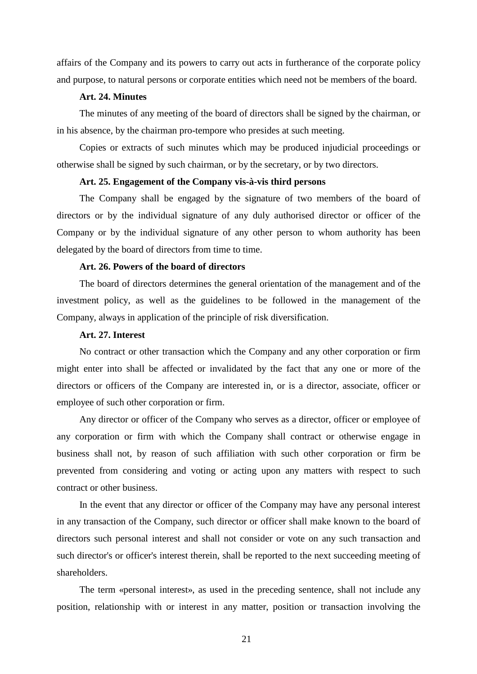affairs of the Company and its powers to carry out acts in furtherance of the corporate policy and purpose, to natural persons or corporate entities which need not be members of the board.

### **Art. 24. Minutes**

The minutes of any meeting of the board of directors shall be signed by the chairman, or in his absence, by the chairman pro-tempore who presides at such meeting.

Copies or extracts of such minutes which may be produced injudicial proceedings or otherwise shall be signed by such chairman, or by the secretary, or by two directors.

### **Art. 25. Engagement of the Company vis-à-vis third persons**

The Company shall be engaged by the signature of two members of the board of directors or by the individual signature of any duly authorised director or officer of the Company or by the individual signature of any other person to whom authority has been delegated by the board of directors from time to time.

# **Art. 26. Powers of the board of directors**

The board of directors determines the general orientation of the management and of the investment policy, as well as the guidelines to be followed in the management of the Company, always in application of the principle of risk diversification.

### **Art. 27. Interest**

No contract or other transaction which the Company and any other corporation or firm might enter into shall be affected or invalidated by the fact that any one or more of the directors or officers of the Company are interested in, or is a director, associate, officer or employee of such other corporation or firm.

Any director or officer of the Company who serves as a director, officer or employee of any corporation or firm with which the Company shall contract or otherwise engage in business shall not, by reason of such affiliation with such other corporation or firm be prevented from considering and voting or acting upon any matters with respect to such contract or other business.

In the event that any director or officer of the Company may have any personal interest in any transaction of the Company, such director or officer shall make known to the board of directors such personal interest and shall not consider or vote on any such transaction and such director's or officer's interest therein, shall be reported to the next succeeding meeting of shareholders.

The term «personal interest», as used in the preceding sentence, shall not include any position, relationship with or interest in any matter, position or transaction involving the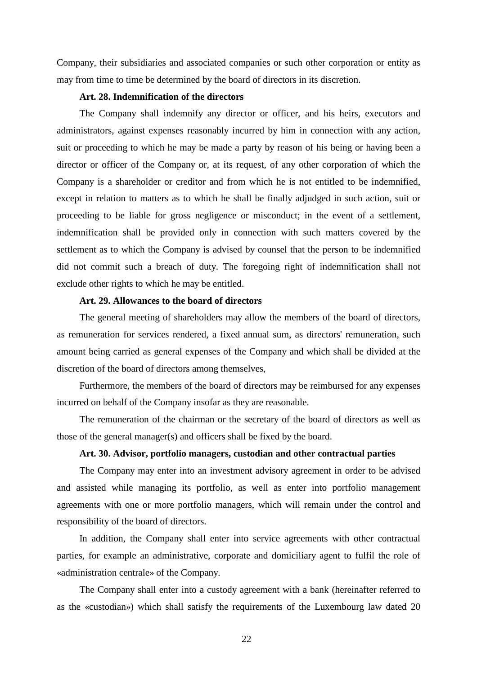Company, their subsidiaries and associated companies or such other corporation or entity as may from time to time be determined by the board of directors in its discretion.

### **Art. 28. Indemnification of the directors**

The Company shall indemnify any director or officer, and his heirs, executors and administrators, against expenses reasonably incurred by him in connection with any action, suit or proceeding to which he may be made a party by reason of his being or having been a director or officer of the Company or, at its request, of any other corporation of which the Company is a shareholder or creditor and from which he is not entitled to be indemnified, except in relation to matters as to which he shall be finally adjudged in such action, suit or proceeding to be liable for gross negligence or misconduct; in the event of a settlement, indemnification shall be provided only in connection with such matters covered by the settlement as to which the Company is advised by counsel that the person to be indemnified did not commit such a breach of duty. The foregoing right of indemnification shall not exclude other rights to which he may be entitled.

### **Art. 29. Allowances to the board of directors**

The general meeting of shareholders may allow the members of the board of directors, as remuneration for services rendered, a fixed annual sum, as directors' remuneration, such amount being carried as general expenses of the Company and which shall be divided at the discretion of the board of directors among themselves,

Furthermore, the members of the board of directors may be reimbursed for any expenses incurred on behalf of the Company insofar as they are reasonable.

The remuneration of the chairman or the secretary of the board of directors as well as those of the general manager(s) and officers shall be fixed by the board.

### **Art. 30. Advisor, portfolio managers, custodian and other contractual parties**

The Company may enter into an investment advisory agreement in order to be advised and assisted while managing its portfolio, as well as enter into portfolio management agreements with one or more portfolio managers, which will remain under the control and responsibility of the board of directors.

In addition, the Company shall enter into service agreements with other contractual parties, for example an administrative, corporate and domiciliary agent to fulfil the role of «administration centrale» of the Company.

The Company shall enter into a custody agreement with a bank (hereinafter referred to as the «custodian») which shall satisfy the requirements of the Luxembourg law dated 20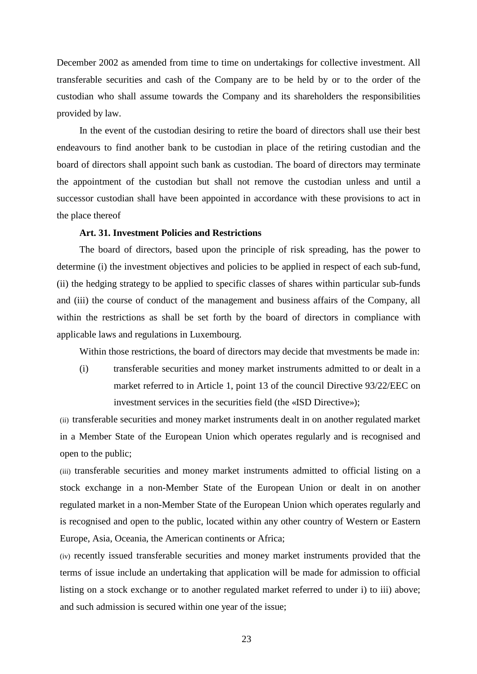December 2002 as amended from time to time on undertakings for collective investment. All transferable securities and cash of the Company are to be held by or to the order of the custodian who shall assume towards the Company and its shareholders the responsibilities provided by law.

In the event of the custodian desiring to retire the board of directors shall use their best endeavours to find another bank to be custodian in place of the retiring custodian and the board of directors shall appoint such bank as custodian. The board of directors may terminate the appointment of the custodian but shall not remove the custodian unless and until a successor custodian shall have been appointed in accordance with these provisions to act in the place thereof

# **Art. 31. Investment Policies and Restrictions**

The board of directors, based upon the principle of risk spreading, has the power to determine (i) the investment objectives and policies to be applied in respect of each sub-fund, (ii) the hedging strategy to be applied to specific classes of shares within particular sub-funds and (iii) the course of conduct of the management and business affairs of the Company, all within the restrictions as shall be set forth by the board of directors in compliance with applicable laws and regulations in Luxembourg.

Within those restrictions, the board of directors may decide that mvestments be made in:

(i) transferable securities and money market instruments admitted to or dealt in a market referred to in Article 1, point 13 of the council Directive 93/22/EEC on investment services in the securities field (the «ISD Directive»);

(ii) transferable securities and money market instruments dealt in on another regulated market in a Member State of the European Union which operates regularly and is recognised and open to the public;

(iii) transferable securities and money market instruments admitted to official listing on a stock exchange in a non-Member State of the European Union or dealt in on another regulated market in a non-Member State of the European Union which operates regularly and is recognised and open to the public, located within any other country of Western or Eastern Europe, Asia, Oceania, the American continents or Africa;

(iv) recently issued transferable securities and money market instruments provided that the terms of issue include an undertaking that application will be made for admission to official listing on a stock exchange or to another regulated market referred to under i) to iii) above; and such admission is secured within one year of the issue;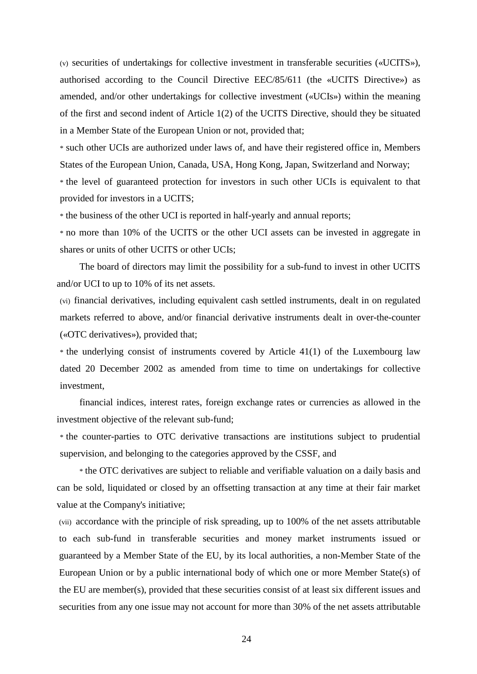(v) securities of undertakings for collective investment in transferable securities («UCITS»), authorised according to the Council Directive EEC/85/611 (the «UCITS Directive») as amended, and/or other undertakings for collective investment («UCIs») within the meaning of the first and second indent of Article 1(2) of the UCITS Directive, should they be situated in a Member State of the European Union or not, provided that;

\* such other UCIs are authorized under laws of, and have their registered office in, Members States of the European Union, Canada, USA, Hong Kong, Japan, Switzerland and Norway;

\* the level of guaranteed protection for investors in such other UCIs is equivalent to that provided for investors in a UCITS;

\* the business of the other UCI is reported in half-yearly and annual reports;

\* no more than 10% of the UCITS or the other UCI assets can be invested in aggregate in shares or units of other UCITS or other UCIs;

The board of directors may limit the possibility for a sub-fund to invest in other UCITS and/or UCI to up to 10% of its net assets.

(vi) financial derivatives, including equivalent cash settled instruments, dealt in on regulated markets referred to above, and/or financial derivative instruments dealt in over-the-counter («OTC derivatives»), provided that;

 $*$  the underlying consist of instruments covered by Article 41(1) of the Luxembourg law dated 20 December 2002 as amended from time to time on undertakings for collective investment,

financial indices, interest rates, foreign exchange rates or currencies as allowed in the investment objective of the relevant sub-fund;

\* the counter-parties to OTC derivative transactions are institutions subject to prudential supervision, and belonging to the categories approved by the CSSF, and

\* the OTC derivatives are subject to reliable and verifiable valuation on a daily basis and can be sold, liquidated or closed by an offsetting transaction at any time at their fair market value at the Company's initiative;

(vii) accordance with the principle of risk spreading, up to 100% of the net assets attributable to each sub-fund in transferable securities and money market instruments issued or guaranteed by a Member State of the EU, by its local authorities, a non-Member State of the European Union or by a public international body of which one or more Member State(s) of the EU are member(s), provided that these securities consist of at least six different issues and securities from any one issue may not account for more than 30% of the net assets attributable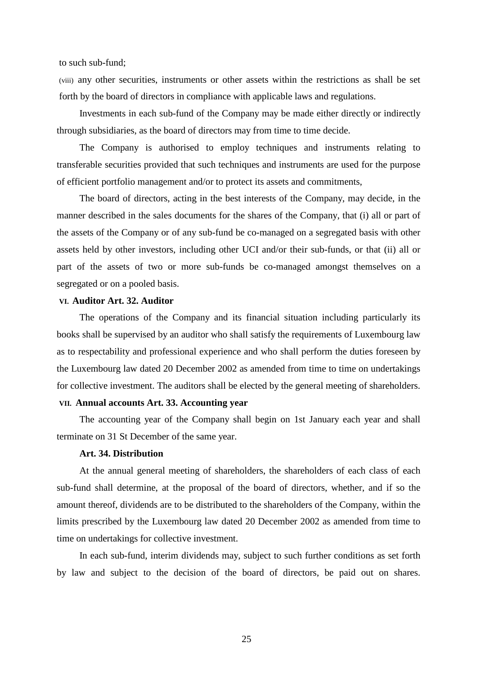to such sub-fund;

(viii) any other securities, instruments or other assets within the restrictions as shall be set forth by the board of directors in compliance with applicable laws and regulations.

Investments in each sub-fund of the Company may be made either directly or indirectly through subsidiaries, as the board of directors may from time to time decide.

The Company is authorised to employ techniques and instruments relating to transferable securities provided that such techniques and instruments are used for the purpose of efficient portfolio management and/or to protect its assets and commitments,

The board of directors, acting in the best interests of the Company, may decide, in the manner described in the sales documents for the shares of the Company, that (i) all or part of the assets of the Company or of any sub-fund be co-managed on a segregated basis with other assets held by other investors, including other UCI and/or their sub-funds, or that (ii) all or part of the assets of two or more sub-funds be co-managed amongst themselves on a segregated or on a pooled basis.

#### **VI. Auditor Art. 32. Auditor**

The operations of the Company and its financial situation including particularly its books shall be supervised by an auditor who shall satisfy the requirements of Luxembourg law as to respectability and professional experience and who shall perform the duties foreseen by the Luxembourg law dated 20 December 2002 as amended from time to time on undertakings for collective investment. The auditors shall be elected by the general meeting of shareholders.

### **VII. Annual accounts Art. 33. Accounting year**

The accounting year of the Company shall begin on 1st January each year and shall terminate on 31 St December of the same year.

# **Art. 34. Distribution**

At the annual general meeting of shareholders, the shareholders of each class of each sub-fund shall determine, at the proposal of the board of directors, whether, and if so the amount thereof, dividends are to be distributed to the shareholders of the Company, within the limits prescribed by the Luxembourg law dated 20 December 2002 as amended from time to time on undertakings for collective investment.

In each sub-fund, interim dividends may, subject to such further conditions as set forth by law and subject to the decision of the board of directors, be paid out on shares.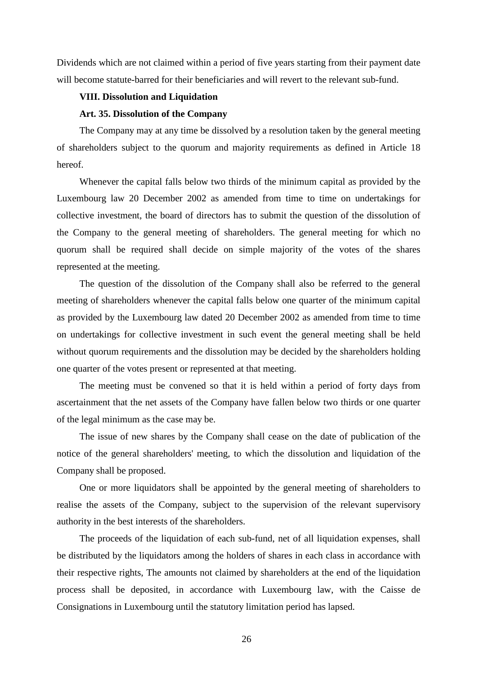Dividends which are not claimed within a period of five years starting from their payment date will become statute-barred for their beneficiaries and will revert to the relevant sub-fund.

#### **VIII. Dissolution and Liquidation**

### **Art. 35. Dissolution of the Company**

The Company may at any time be dissolved by a resolution taken by the general meeting of shareholders subject to the quorum and majority requirements as defined in Article 18 hereof.

Whenever the capital falls below two thirds of the minimum capital as provided by the Luxembourg law 20 December 2002 as amended from time to time on undertakings for collective investment, the board of directors has to submit the question of the dissolution of the Company to the general meeting of shareholders. The general meeting for which no quorum shall be required shall decide on simple majority of the votes of the shares represented at the meeting.

The question of the dissolution of the Company shall also be referred to the general meeting of shareholders whenever the capital falls below one quarter of the minimum capital as provided by the Luxembourg law dated 20 December 2002 as amended from time to time on undertakings for collective investment in such event the general meeting shall be held without quorum requirements and the dissolution may be decided by the shareholders holding one quarter of the votes present or represented at that meeting.

The meeting must be convened so that it is held within a period of forty days from ascertainment that the net assets of the Company have fallen below two thirds or one quarter of the legal minimum as the case may be.

The issue of new shares by the Company shall cease on the date of publication of the notice of the general shareholders' meeting, to which the dissolution and liquidation of the Company shall be proposed.

One or more liquidators shall be appointed by the general meeting of shareholders to realise the assets of the Company, subject to the supervision of the relevant supervisory authority in the best interests of the shareholders.

The proceeds of the liquidation of each sub-fund, net of all liquidation expenses, shall be distributed by the liquidators among the holders of shares in each class in accordance with their respective rights, The amounts not claimed by shareholders at the end of the liquidation process shall be deposited, in accordance with Luxembourg law, with the Caisse de Consignations in Luxembourg until the statutory limitation period has lapsed.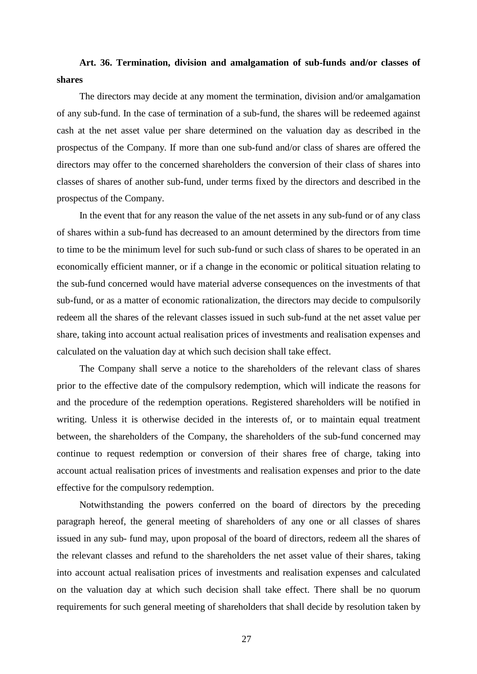# **Art. 36. Termination, division and amalgamation of sub-funds and/or classes of shares**

The directors may decide at any moment the termination, division and/or amalgamation of any sub-fund. In the case of termination of a sub-fund, the shares will be redeemed against cash at the net asset value per share determined on the valuation day as described in the prospectus of the Company. If more than one sub-fund and/or class of shares are offered the directors may offer to the concerned shareholders the conversion of their class of shares into classes of shares of another sub-fund, under terms fixed by the directors and described in the prospectus of the Company.

In the event that for any reason the value of the net assets in any sub-fund or of any class of shares within a sub-fund has decreased to an amount determined by the directors from time to time to be the minimum level for such sub-fund or such class of shares to be operated in an economically efficient manner, or if a change in the economic or political situation relating to the sub-fund concerned would have material adverse consequences on the investments of that sub-fund, or as a matter of economic rationalization, the directors may decide to compulsorily redeem all the shares of the relevant classes issued in such sub-fund at the net asset value per share, taking into account actual realisation prices of investments and realisation expenses and calculated on the valuation day at which such decision shall take effect.

The Company shall serve a notice to the shareholders of the relevant class of shares prior to the effective date of the compulsory redemption, which will indicate the reasons for and the procedure of the redemption operations. Registered shareholders will be notified in writing. Unless it is otherwise decided in the interests of, or to maintain equal treatment between, the shareholders of the Company, the shareholders of the sub-fund concerned may continue to request redemption or conversion of their shares free of charge, taking into account actual realisation prices of investments and realisation expenses and prior to the date effective for the compulsory redemption.

Notwithstanding the powers conferred on the board of directors by the preceding paragraph hereof, the general meeting of shareholders of any one or all classes of shares issued in any sub- fund may, upon proposal of the board of directors, redeem all the shares of the relevant classes and refund to the shareholders the net asset value of their shares, taking into account actual realisation prices of investments and realisation expenses and calculated on the valuation day at which such decision shall take effect. There shall be no quorum requirements for such general meeting of shareholders that shall decide by resolution taken by

27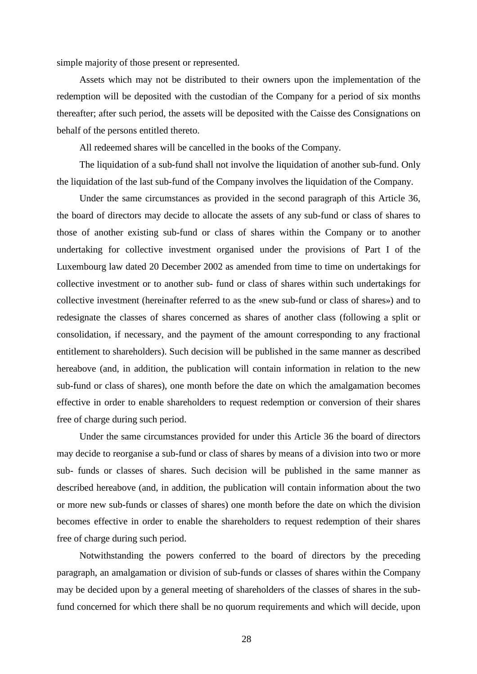simple majority of those present or represented.

Assets which may not be distributed to their owners upon the implementation of the redemption will be deposited with the custodian of the Company for a period of six months thereafter; after such period, the assets will be deposited with the Caisse des Consignations on behalf of the persons entitled thereto.

All redeemed shares will be cancelled in the books of the Company.

The liquidation of a sub-fund shall not involve the liquidation of another sub-fund. Only the liquidation of the last sub-fund of the Company involves the liquidation of the Company.

Under the same circumstances as provided in the second paragraph of this Article 36, the board of directors may decide to allocate the assets of any sub-fund or class of shares to those of another existing sub-fund or class of shares within the Company or to another undertaking for collective investment organised under the provisions of Part I of the Luxembourg law dated 20 December 2002 as amended from time to time on undertakings for collective investment or to another sub- fund or class of shares within such undertakings for collective investment (hereinafter referred to as the «new sub-fund or class of shares») and to redesignate the classes of shares concerned as shares of another class (following a split or consolidation, if necessary, and the payment of the amount corresponding to any fractional entitlement to shareholders). Such decision will be published in the same manner as described hereabove (and, in addition, the publication will contain information in relation to the new sub-fund or class of shares), one month before the date on which the amalgamation becomes effective in order to enable shareholders to request redemption or conversion of their shares free of charge during such period.

Under the same circumstances provided for under this Article 36 the board of directors may decide to reorganise a sub-fund or class of shares by means of a division into two or more sub- funds or classes of shares. Such decision will be published in the same manner as described hereabove (and, in addition, the publication will contain information about the two or more new sub-funds or classes of shares) one month before the date on which the division becomes effective in order to enable the shareholders to request redemption of their shares free of charge during such period.

Notwithstanding the powers conferred to the board of directors by the preceding paragraph, an amalgamation or division of sub-funds or classes of shares within the Company may be decided upon by a general meeting of shareholders of the classes of shares in the subfund concerned for which there shall be no quorum requirements and which will decide, upon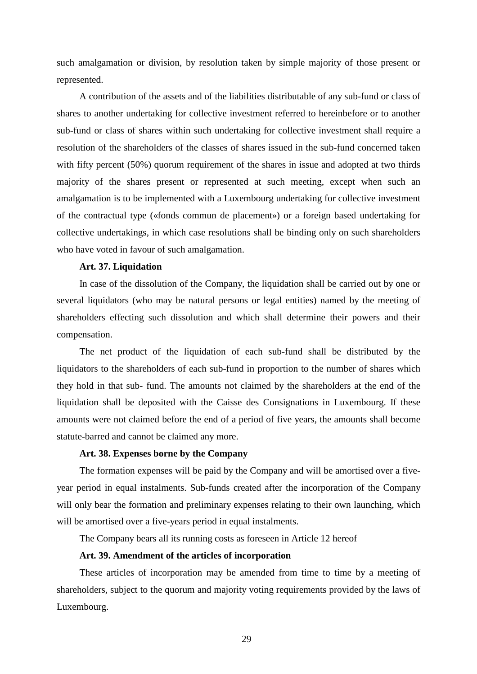such amalgamation or division, by resolution taken by simple majority of those present or represented.

A contribution of the assets and of the liabilities distributable of any sub-fund or class of shares to another undertaking for collective investment referred to hereinbefore or to another sub-fund or class of shares within such undertaking for collective investment shall require a resolution of the shareholders of the classes of shares issued in the sub-fund concerned taken with fifty percent (50%) quorum requirement of the shares in issue and adopted at two thirds majority of the shares present or represented at such meeting, except when such an amalgamation is to be implemented with a Luxembourg undertaking for collective investment of the contractual type («fonds commun de placement») or a foreign based undertaking for collective undertakings, in which case resolutions shall be binding only on such shareholders who have voted in favour of such amalgamation.

### **Art. 37. Liquidation**

In case of the dissolution of the Company, the liquidation shall be carried out by one or several liquidators (who may be natural persons or legal entities) named by the meeting of shareholders effecting such dissolution and which shall determine their powers and their compensation.

The net product of the liquidation of each sub-fund shall be distributed by the liquidators to the shareholders of each sub-fund in proportion to the number of shares which they hold in that sub- fund. The amounts not claimed by the shareholders at the end of the liquidation shall be deposited with the Caisse des Consignations in Luxembourg. If these amounts were not claimed before the end of a period of five years, the amounts shall become statute-barred and cannot be claimed any more.

### **Art. 38. Expenses borne by the Company**

The formation expenses will be paid by the Company and will be amortised over a fiveyear period in equal instalments. Sub-funds created after the incorporation of the Company will only bear the formation and preliminary expenses relating to their own launching, which will be amortised over a five-years period in equal instalments.

The Company bears all its running costs as foreseen in Article 12 hereof

# **Art. 39. Amendment of the articles of incorporation**

These articles of incorporation may be amended from time to time by a meeting of shareholders, subject to the quorum and majority voting requirements provided by the laws of Luxembourg.